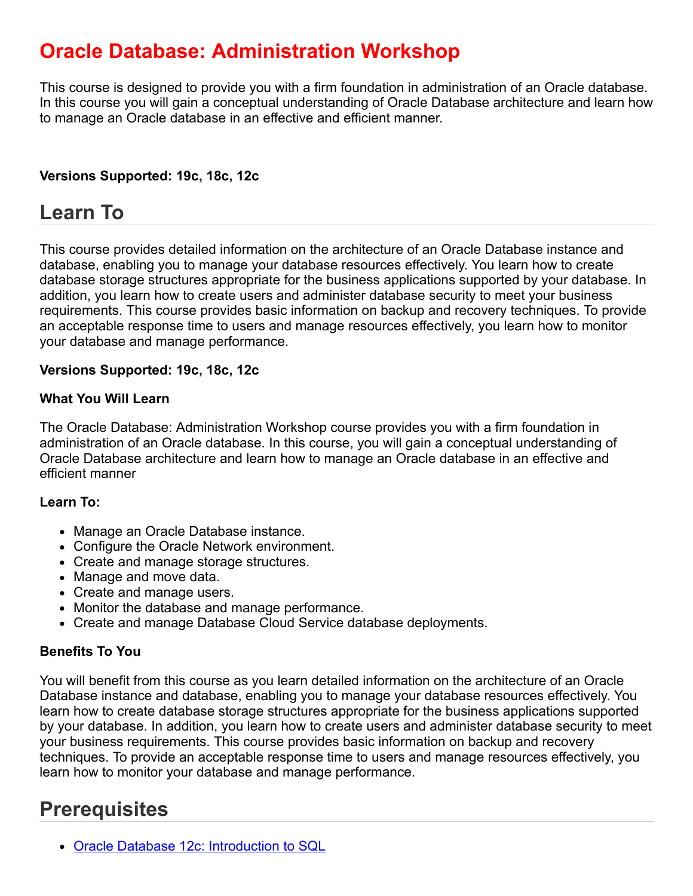### **Oracle Database: Administration Workshop**

This course is designed to provide you with a firm foundation in administration of an Oracle database. In this course you will gain a conceptual understanding of Oracle Database architecture and learn how to manage an Oracle database in an effective and efficient manner.

### **Versions Supported: 19c, 18c, 12c**

### **Learn To**

This course provides detailed information on the architecture of an Oracle Database instance and database, enabling you to manage your database resources effectively. You learn how to create database storage structures appropriate for the business applications supported by your database. In addition, you learn how to create users and administer database security to meet your business requirements. This course provides basic information on backup and recovery techniques. To provide an acceptable response time to users and manage resources effectively, you learn how to monitor your database and manage performance.

#### **Versions Supported: 19c, 18c, 12c**

#### **What You Will Learn**

The Oracle Database: Administration Workshop course provides you with a firm foundation in administration of an Oracle database. In this course, you will gain a conceptual understanding of Oracle Database architecture and learn how to manage an Oracle database in an effective and efficient manner

#### **Learn To:**

- Manage an Oracle Database instance.
- Configure the Oracle Network environment.
- Create and manage storage structures.
- Manage and move data.
- Create and manage users.
- Monitor the database and manage performance.
- Create and manage Database Cloud Service database deployments.

#### **Benefits To You**

You will benefit from this course as you learn detailed information on the architecture of an Oracle Database instance and database, enabling you to manage your database resources effectively. You learn how to create database storage structures appropriate for the business applications supported by your database. In addition, you learn how to create users and administer database security to meet your business requirements. This course provides basic information on backup and recovery techniques. To provide an acceptable response time to users and manage resources effectively, you learn how to monitor your database and manage performance.

### **Prerequisites**

• [Oracle Database 12c: Introduction to SQL](https://education.oracle.com/oracle-database-12c-introduction-to-sql/courP_3590)